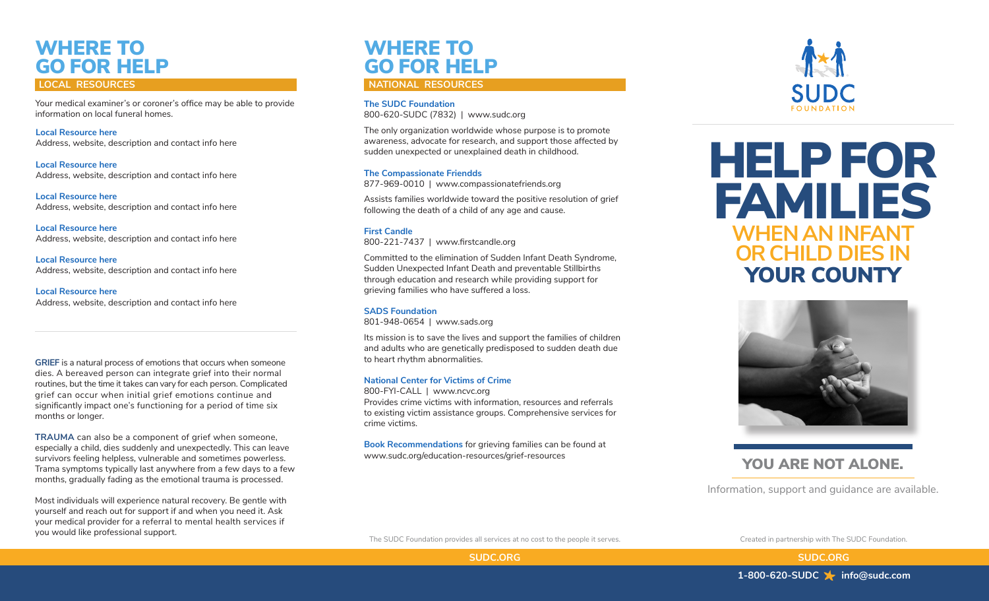# WHERE TO GO FOR HELP

Your medical examiner's or coroner's office may be able to provide information on local funeral homes.

**Local Resource here** Address, website, description and contact info here

**Local Resource here** Address, website, description and contact info here

**Local Resource here** Address, website, description and contact info here

**Local Resource here** Address, website, description and contact info here

**Local Resource here** Address, website, description and contact info here

**Local Resource here** Address, website, description and contact info here

**GRIEF** is a natural process of emotions that occurs when someone dies. A bereaved person can integrate grief into their normal routines, but the time it takes can vary for each person. Complicated grief can occur when initial grief emotions continue and significantly impact one's functioning for a period of time six months or longer.

**TRAUMA** can also be a component of grief when someone, especially a child, dies suddenly and unexpectedly. This can leave survivors feeling helpless, vulnerable and sometimes powerless. Trama symptoms typically last anywhere from a few days to a few months, gradually fading as the emotional trauma is processed.

Most individuals will experience natural recovery. Be gentle with yourself and reach out for support if and when you need it. Ask your medical provider for a referral to mental health services if you would like professional support.

## WHERE TO GO FOR HELP

### **LOCAL RESOURCES NATIONAL RESOURCES**

**The SUDC Foundation** 800-620-SUDC (7832) | www.sudc.org

The only organization worldwide whose purpose is to promote awareness, advocate for research, and support those affected by sudden unexpected or unexplained death in childhood.

#### **The Compassionate Friendds**

877-969-0010 | www.compassionatefriends.org

Assists families worldwide toward the positive resolution of grief following the death of a child of any age and cause.

#### **First Candle** 800-221-7437 | www.firstcandle.org

Committed to the elimination of Sudden Infant Death Syndrome, Sudden Unexpected Infant Death and preventable Stillbirths through education and research while providing support for grieving families who have suffered a loss.

### **SADS Foundation**

801-948-0654 | www.sads.org

Its mission is to save the lives and support the families of children and adults who are genetically predisposed to sudden death due to heart rhythm abnormalities.

### **National Center for Victims of Crime**

800-FYI-CALL | www.ncvc.org Provides crime victims with information, resources and referrals to existing victim assistance groups. Comprehensive services for crime victims.

**Book Recommendations** for grieving families can be found at www.sudc.org/education-resources/grief-resources



**WHEN AN INFANT OR CHILD DIES IN** YOUR COUNTY HELP FOR FAMILIES



### YOU ARE NOT ALONE.

Information, support and guidance are available.

The SUDC Foundation provides all services at no cost to the people it serves. Created in partnership with The SUDC Foundation.

**SUDC.ORG SUDC.ORG**